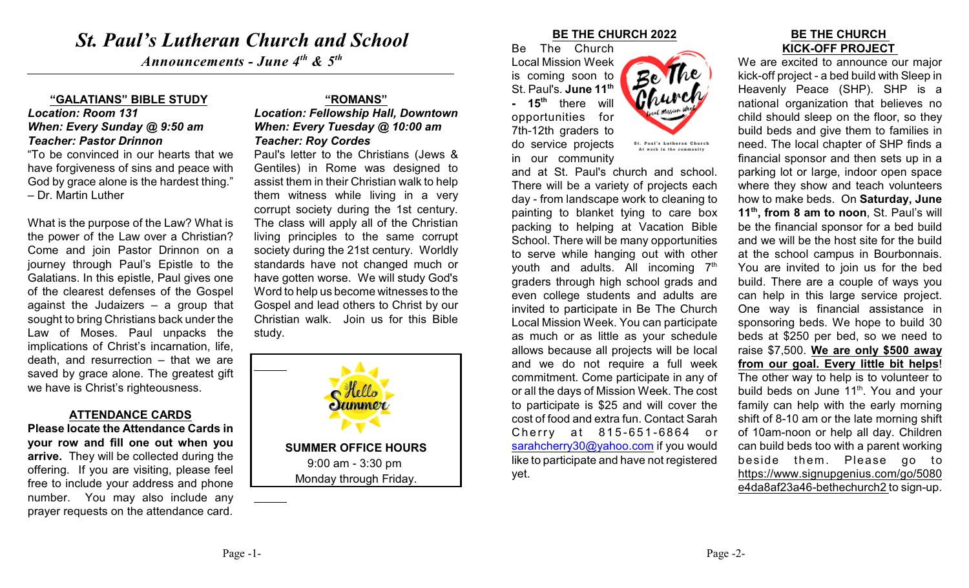# *St. Paul's Lutheran Church and School*

*Announcements - June 4<sup>th</sup> & 5<sup>th</sup>* 

#### **"GALATIANS" BIBLE STUDY**

#### *Location: Room 131 When: Every Sunday @ 9:50 am Teacher: Pastor Drinnon*

"To be convinced in our hearts that we have forgiveness of sins and peace with God by grace alone is the hardest thing." – Dr. Martin Luther

What is the purpose of the Law? What is the power of the Law over a Christian? Come and join Pastor Drinnon on a journey through Paul's Epistle to the Galatians. In this epistle, Paul gives one of the clearest defenses of the Gospel against the Judaizers – a group that sought to bring Christians back under the Law of Moses. Paul unpacks the implications of Christ's incarnation, life, death, and resurrection – that we are saved by grace alone. The greatest gift we have is Christ's righteousness.

#### **ATTENDANCE CARDS**

**Please locate the Attendance Cards in your row and fill one out when you arrive.** They will be collected during the offering. If you are visiting, please feel free to include your address and phone number. You may also include any prayer requests on the attendance card.

## **"ROMANS"**

*Location: Fellowship Hall, Downtown When: Every Tuesday @ 10:00 am Teacher: Roy Cordes*

Paul's letter to the Christians (Jews & Gentiles) in Rome was designed to assist them in their Christian walk to help them witness while living in a very corrupt society during the 1st century. The class will apply all of the Christian living principles to the same corrupt society during the 21st century. Worldly standards have not changed much or have gotten worse. We will study God's Word to help us become witnesses to the Gospel and lead others to Christ by our Christian walk. Join us for this Bible study.



#### **BE THE CHURCH 2022**

Be The <u> Phurch</u>

St. Paul's Lutheran Church At work in the community

Be The Church Local Mission Week is coming soon to St. Paul's. **June 11th - 15<sup>th</sup>** there will opportunities for 7th-12th graders to do service projects in our community

and at St. Paul's church and school. There will be a variety of projects each day - from landscape work to cleaning to painting to blanket tying to care box packing to helping at Vacation Bible School. There will be many opportunities to serve while hanging out with other youth and adults. All incoming  $7<sup>th</sup>$ graders through high school grads and even college students and adults are invited to participate in Be The Church Local Mission Week. You can participate as much or as little as your schedule allows because all projects will be local and we do not require a full week commitment. Come participate in any of or all the days of Mission Week. The cost to participate is \$25 and will cover the cost of food and extra fun. Contact Sarah Cherry at 815-651-6864 or [sarahcherry30@yahoo.com](mailto:sarahcherry30@yahoo.com) if you would like to participate and have not registered yet.

#### **BE THE CHURCH KICK-OFF PROJECT**

We are excited to announce our major kick-off project - a bed build with Sleep in Heavenly Peace (SHP). SHP is a national organization that believes no child should sleep on the floor, so they build beds and give them to families in need. The local chapter of SHP finds a financial sponsor and then sets up in a parking lot or large, indoor open space where they show and teach volunteers how to make beds. On **Saturday, June 11<sup>th</sup>, from 8 am to noon**, St. Paul's will be the financial sponsor for a bed build and we will be the host site for the build at the school campus in Bourbonnais. You are invited to join us for the bed build. There are a couple of ways you can help in this large service project. One way is financial assistance in sponsoring beds. We hope to build 30 beds at \$250 per bed, so we need to raise \$7,500. **We are only \$500 away from our goal. Every little bit helps**! The other way to help is to volunteer to build beds on June  $11<sup>th</sup>$ . You and your family can help with the early morning shift of 8-10 am or the late morning shift of 10am-noon or help all day. Children can build beds too with a parent working beside them. Please go to https://www.signupgenius.com/go/5080 e4da8af23a46-bethechurch2 to sign-up.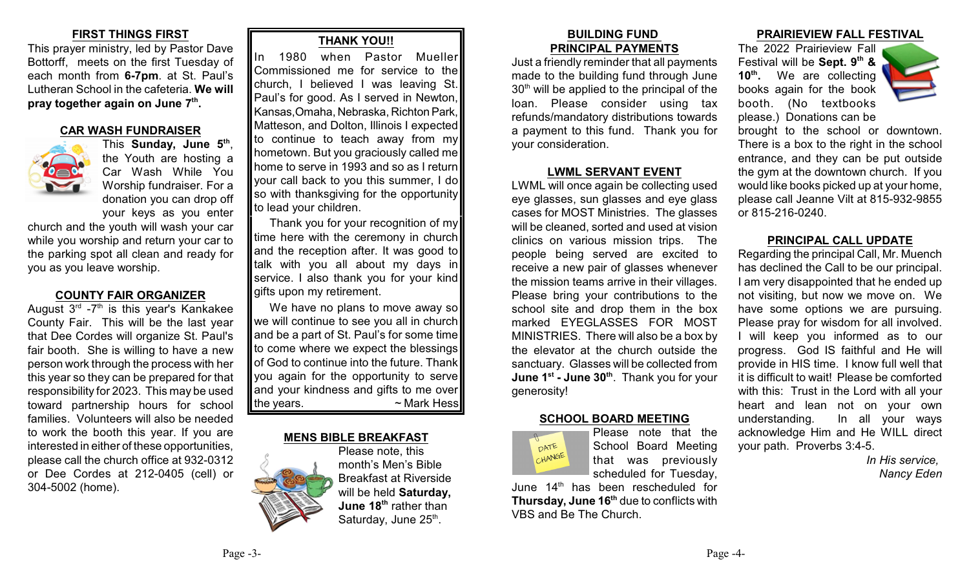# **FIRST THINGS FIRST**

This prayer ministry, led by Pastor Dave Bottorff, meets on the first Tuesday of each month from **6-7pm**. at St. Paul's Lutheran School in the cafeteria. **We will pray together again on June 7<sup>th</sup>.** 

#### **CAR WASH FUNDRAISER**



This Sunday, June 5<sup>th</sup>, the Youth are hosting a Car Wash While You Worship fundraiser. For a donation you can drop off your keys as you enter

church and the youth will wash your car while you worship and return your car to the parking spot all clean and ready for you as you leave worship.

## **COUNTY FAIR ORGANIZER**

August  $3<sup>rd</sup>$  -7<sup>th</sup> is this year's Kankakee County Fair. This will be the last year that Dee Cordes will organize St. Paul's fair booth. She is willing to have a new person work through the process with her this year so they can be prepared for that responsibility for 2023. This may be used toward partnership hours for school families. Volunteers will also be needed to work the booth this year. If you are interested in either of these opportunities, please call the church office at 932-0312 or Dee Cordes at 212-0405 (cell) or 304-5002 (home).

# **THANK YOU!!**

In 1980 when Pastor Mueller Commissioned me for service to the church, I believed I was leaving St. Paul's for good. As I served in Newton, Kansas,Omaha, Nebraska, Richton Park, Matteson, and Dolton, Illinois I expected to continue to teach away from my hometown. But you graciously called me home to serve in 1993 and so as I return your call back to you this summer, I do so with thanksgiving for the opportunity to lead your children.

Thank you for your recognition of my time here with the ceremony in church and the reception after. It was good to talk with you all about my days in service. I also thank you for your kind gifts upon my retirement.

We have no plans to move away so we will continue to see you all in church and be a part of St. Paul's for some time to come where we expect the blessings of God to continue into the future. Thank you again for the opportunity to serve and your kindness and gifts to me over the years.  $\sim$  Mark Hess

#### **MENS BIBLE BREAKFAST**

Please note, this month's Men's Bible Breakfast at Riverside will be held **Saturday, June 18<sup>th</sup> rather than** Saturday, June 25<sup>th</sup>.

#### **BUILDING FUND PRINCIPAL PAYMENTS**

Just a friendly reminder that all payments made to the building fund through June  $30<sup>th</sup>$  will be applied to the principal of the loan. Please consider using tax refunds/mandatory distributions towards a payment to this fund. Thank you for your consideration.

#### **LWML SERVANT EVENT**

LWML will once again be collecting used eye glasses, sun glasses and eye glass cases for MOST Ministries. The glasses will be cleaned, sorted and used at vision clinics on various mission trips. The people being served are excited to receive a new pair of glasses whenever the mission teams arrive in their villages. Please bring your contributions to the school site and drop them in the box marked EYEGLASSES FOR MOST MINISTRIES. There will also be a box by the elevator at the church outside the sanctuary. Glasses will be collected from **June 1st - June 30<sup>th</sup>. Thank you for your** generosity!

## **SCHOOL BOARD MEETING**



Please note that the School Board Meeting that was previously scheduled for Tuesday,

June  $14<sup>th</sup>$  has been rescheduled for **Thursday, June 16<sup>th</sup> due to conflicts with** VBS and Be The Church.

#### **PRAIRIEVIEW FALL FESTIVAL**

The 2022 Prairieview Fall Festival will be **Sept.** 9<sup>th</sup> & **10<sup>th</sup>.** We are collecting books again for the book booth. (No textbooks please.) Donations can be



brought to the school or downtown. There is a box to the right in the school entrance, and they can be put outside the gym at the downtown church. If you would like books picked up at your home, please call Jeanne Vilt at 815-932-9855 or 815-216-0240.

#### **PRINCIPAL CALL UPDATE**

Regarding the principal Call, Mr. Muench has declined the Call to be our principal. I am very disappointed that he ended up not visiting, but now we move on. We have some options we are pursuing. Please pray for wisdom for all involved. I will keep you informed as to our progress. God IS faithful and He will provide in HIS time. I know full well that it is difficult to wait! Please be comforted with this: Trust in the Lord with all your heart and lean not on your own understanding. In all your ways acknowledge Him and He WILL direct your path. Proverbs 3:4-5.

> *In His service, Nancy Eden*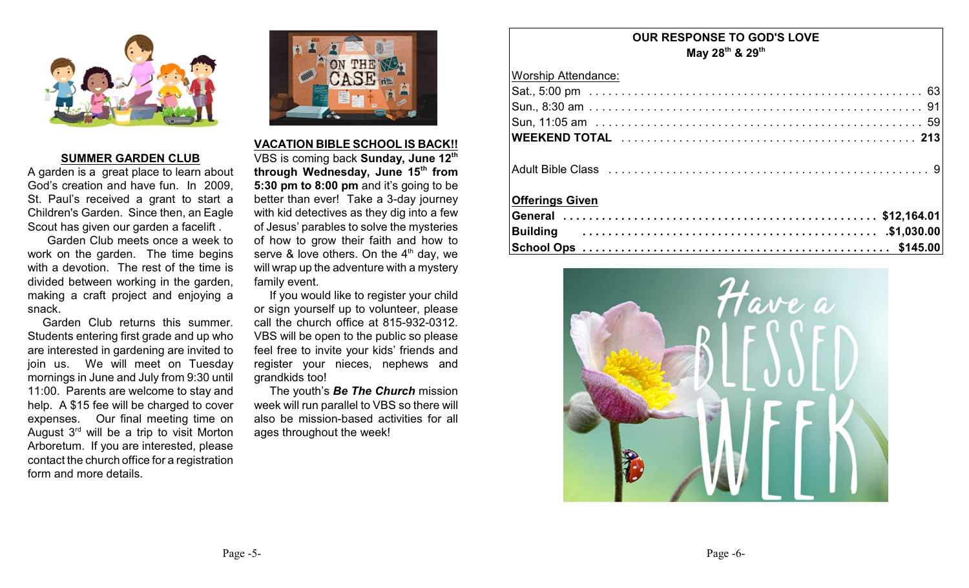

#### **SUMMER GARDEN CLUB**

A garden is a great place to learn about God's creation and have fun. In 2009, St. Paul's received a grant to start a Children's Garden. Since then, an Eagle Scout has given our garden a facelift .

Garden Club meets once a week to work on the garden. The time begins with a devotion. The rest of the time is divided between working in the garden, making a craft project and enjoying a snack.

 Garden Club returns this summer. Students entering first grade and up who are interested in gardening are invited to join us. We will meet on Tuesday mornings in June and July from 9:30 until 11:00. Parents are welcome to stay and help. A \$15 fee will be charged to cover expenses. Our final meeting time on August  $3<sup>rd</sup>$  will be a trip to visit Morton Arboretum. If you are interested, please contact the church office for a registration form and more details.



#### **VACATION BIBLE SCHOOL IS BACK!!**

VBS is coming back **Sunday, June 12th through Wednesday, June 15th from 5:30 pm to 8:00 pm** and it's going to be better than ever! Take a 3-day journey with kid detectives as they dig into a few of Jesus' parables to solve the mysteries of how to grow their faith and how to serve & love others. On the  $4<sup>th</sup>$  day, we will wrap up the adventure with a mystery family event.

If you would like to register your child or sign yourself up to volunteer, please call the church office at 815-932-0312. VBS will be open to the public so please feel free to invite your kids' friends and register your nieces, nephews and grandkids too!

The youth's *Be The Church* mission week will run parallel to VBS so there will also be mission-based activities for all ages throughout the week!

# **OUR RESPONSE TO GOD'S LOVE May 28<sup>th</sup> & 29<sup>th</sup>**

| <b>Worship Attendance:</b> |
|----------------------------|
|                            |
|                            |
|                            |
|                            |
|                            |
| <b>Offerings Given</b>     |
|                            |
|                            |
|                            |